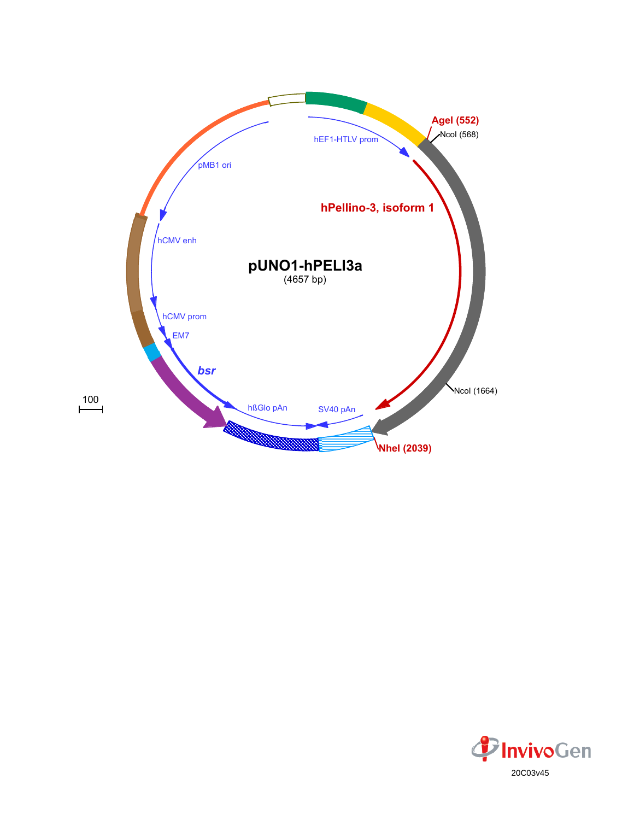

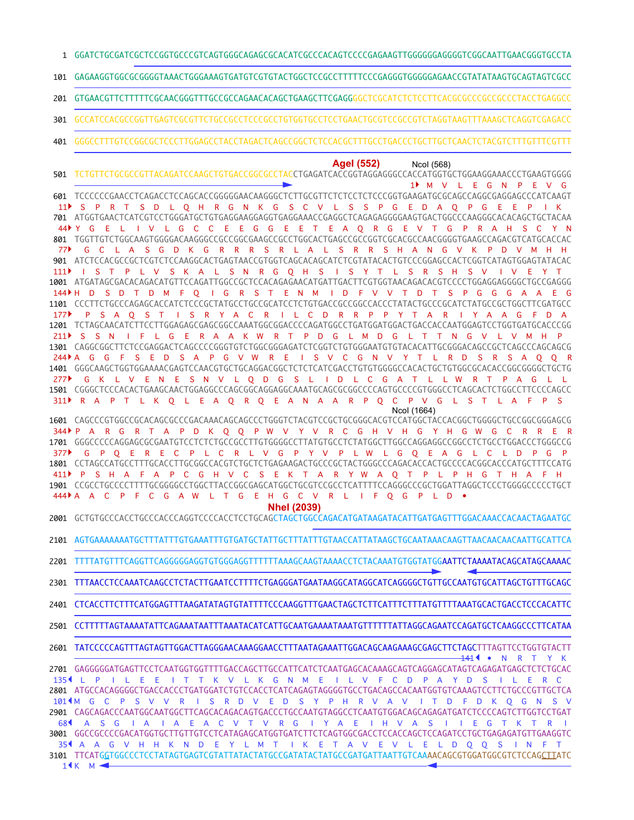GGATCTGCGATCGCTCCGGTGCCCGTCAGTGGGCAGAGCGCACATCGCCCACAGTCCCCGAGAAGTTGGGGGGAGGGGTCGGCAATTGAACGGGTGCCTA 1

GAGAAGGTGGCGCGGGGTAAACTGGGAAAGTGATGTCGTGTACTGGCTCCGCCTTTTTCCCGAGGGTGGGGGAGAACCGTATATAAGTGCAGTAGTCGCC 101

GTGAACGTTCTTTTTCGCAACGGGTTTGCCGCCAGAACACAGCTGAAGCTTCGAGGGGCTCGCATCTCTCCTTCACGCGCCCGCCGCCCTACCTGAGGCC 201

GCCATCCACGCCGGTTGAGTCGCGTTCTGCCGCCTCCCGCCTGTGGTGCCTCCTGAACTGCGTCCGCCGTCTAGGTAAGTTTAAAGCTCAGGTCGAGACC 301

GGGCCTTTGTCCGGCGCTCCCTTGGAGCCTACCTAGACTCAGCCGGCTCTCCACGCTTTGCCTGACCCTGCTTGCTCAACTCTACGTCTTTGTTTCGTTT 401

**AgeI (552)** NcoI (568)

TCTGTTCTGCGCCGTTACAGATCCAAGCTGTGACCGGCGCCTACCTGAGATCACCGGTAGGAGGGCCACCATGGTGCTGGAAGGAAACCCTGAAGTGGGG 501 TCCCCCCGAACCTCAGACCTCCAGCACCGGGGGAACAAGGGCTCTTGCGTTCTCTCCTCTCCCGGTGAAGATGCGCAGCCAGGCGAGGAGCCCATCAAGT 601 ATGGTGAACTCATCGTCCTGGGATGCTGTGAGGAAGGAGGTGAGGAAACCGAGGCTCAGAGAGGGGAAGTGACTGGCCCAAGGGCACACAGCTGCTACAA 701 TGGTTGTCTGGCAAGTGGGGACAAGGGCCGCCGGCGAAGCCGCCTGGCACTGAGCCGCCGGTCGCACGCCAACGGGGTGAAGCCAGACGTCATGCACCAC 801 ATCTCCACGCCGCTCGTCTCCAAGGCACTGAGTAACCGTGGTCAGCACAGCATCTCGTATACACTGTCCCGGAGCCACTCGGTCATAGTGGAGTATACAC 901 1001 ATGATAGCGACACAGACATGTTCCAGATTGGCCGCTCCACAGAGAACATGATTGACTTCGTGGTAACAGACACGTCCCCTGGAGGAGGGGCTGCCGAGGG 1101 CCCTTCTGCCCAGAGCACCATCTCCCGCTATGCCTGCCGCATCCTCTGTGACCGCCGGCCACCCTATACTGCCCGCATCTATGCCGCTGGCTTCGATGCC TCTAGCAACATCTTCCTTGGAGAGCGAGCGGCCAAATGGCGGACCCCAGATGGCCTGATGGATGGACTGACCACCAATGGAGTCCTGGTGATGCACCCGG 1201 1301 CAGGCGGCTTCTCCGAGGACTCAGCCCCGGGTGTCTGGCGGGAGATCTCGGTCTGTGGGAATGTGTACACATTGCGGGACAGCCGCTCAGCCCAGCAGCG GGGCAAGCTGGTGGAAAACGAGTCCAACGTGCTGCAGGACGGCTCTCTCATCGACCTGTGTGGGGCCACACTGCTGTGGCGCACACCGGCGGGGCTGCTG 1401 1501 CGGGCTCCCACACTGAAGCAACTGGAGGCCCAGCGGCAGGAGGCAAATGCAGCGCGCCCCAGTGCCCCGTGGGCCTCAGCACTCTGGCCTTCCCCAGCC M V L E G N P E V G S P R T S D L Q H R G N K G S C V L S S P G E D A O P G E E P Y G E L I V L G C C E E G G E E T E A Q R G E V T G P R A H S C Y N G C L A S G D K G R R R S R L A L S R R S H A N G V K P D V M H H 111) I ST P L V S K A L S N R G Q H S I S Y T L S R S H S V I V E Y T H D S D T D M F Q I G R S T E N M I D F V V T D T S P G G G A A E G 144 P S A Q S T I S R Y A C R I L C D R R P P Y T A R I Y A A G F D A 211ÞS SNIFL GER A AKWRT PD GL M D GL T T N G V L V M H P 244ÞAG G F S E D S A P G V W R E I S V C G N V Y T L R D S R S A Q Q R G K L V E N E S N V L Q D G S L I D L C G A T L L W R T P A G L L 277 311 PRAPT LK Q L E A Q R Q E A N A A R P Q C P V G L S T L A F P S NcoI (1664)  $1$  M V  $11<sup>5</sup>$ 44 ≯ Y G E L 77  $177$ 

1601 CAGCCCGTGGCCGCACAGCGCCCGACAAACAGCAGCCCTGGGTCTACGTCCGCTGCGGGCACGTCCATGGCTACCACGGCTGGGGCTGCCGGCGGGAGCG GGGCCCCCAGGAGCGCGAATGTCCTCTCTGCCGCCTTGTGGGGCCTTATGTGCCTCTATGGCTTGGCCAGGAGGCCGGCCTCTGCCTGGACCCTGGGCCG 1701 CCTAGCCATGCCTTTGCACCTTGCGGCCACGTCTGCTCTGAGAAGACTGCCCGCTACTGGGCCCAGACACCACTGCCCCACGGCACCCATGCTTTCCATG 1801 CCGCCTGCCCCTTTTGCGGGGCCTGGCTTACCGGCGAGCATGGCTGCGTCCGCCTCATTTTCCAGGGCCCGCTGGATTAGGCTCCCTGGGGCCCCCTGCT 1901 P A R G R T A P D K Q Q P W V Y V R C G H V H G Y H G W G C R R E R 344 G P Q E R E C P L C R L V G P Y V P L W L G Q E A G L C L D P G P 377 P S H A F A P C G H V C S E K T A R Y W A Q T P L P H G T H A F H 411 A A C P F C G A W L T G E H G C V R L I F Q G P L D • 444

**NheI (2039)**

GCTGTGCCCACCTGCCCACCCAGGTCCCCACCTCCTGCAGCTAGCTGGCCAGACATGATAAGATACATTGATGAGTTTGGACAAACCACAACTAGAATGC 2001

2101 AGTGAAAAAAATGCTTTATTTGTGAAATTTGTGATGCTATTGCTTTATTTGTAACCATTATAAGCTGCAATAAACAAGTTAACAACAACAACATTGCATTCA

TTTTATGTTTCAGGTTCAGGGGGAGGTGTGGGAGGTTTTTTAAAGCAAGTAAAACCTCTACAAATGTGGTATGGAATTCTAAAATACAGCATAGCAAAAC 2201

TTTAACCTCCAAATCAAGCCTCTACTTGAATCCTTTTCTGAGGGATGAATAAGGCATAGGCATCAGGGGCTGTTGCCAATGTGCATTAGCTGTTTGCAGC 2301

2401 CTCACCTTCTTTCATGGAGTTTAAGATATAGTGTATTTTCCCAAGGTTTGAACTAGCTCTTCATTTCTTTATGTTTTAAATGCACTGACCTCCCACATTC

CCTTTTTAGTAAAATATTCAGAAATAATTTAAATACATCATTGCAATGAAAATAAATGTTTTTTATTAGGCAGAATCCAGATGCTCAAGGCCCTTCATAA 2501

TATCCCCCAGTTTAGTAGTTGGACTTAGGGAACAAAGGAACCTTTAATAGAAATTGGACAGCAAGAAAGCGAGCTTCTAGCTTTAGTTCCTGGTGTACTT 2601 • N R T Y K 141

2701 GAGGGGGATGAGTTCCTCAATGGTGGTTTTGACCAGCTTGCCATTCATCTCAATGAGCACAAAGCAGTCAGGAGCATAGTCAGAGATGAGCTCTCTGCAC 2801 ATGCCACAGGGGCTGACCACCCTGATGGATCTGTCCACCTCATCAGAGTAGGGGTGCCTGACAGCCACAATGGTGTCAAAGTCCTTCTGCCCGTTGCTCA CAGCAGACCCAATGGCAATGGCTTCAGCACAGACAGTGACCCTGCCAATGTAGGCCTCAATGTGGACAGCAGAGATGATCTCCCCAGTCTTGGTCCTGAT 2901 3001 GGCCGCCCCGACATGGTGCTTGTTGTCCTCATAGAGCATGGTGATCTTCTCAGTGGCGACCTCCACCAGCTCCAGATCCTGCTGAGAGATGTTGAAGGTC 3101 TTCATG<u>G</u>TGGCCCTCCTATAGTGAGTCGTATTATACTATGCCGATATACTATGCCGATGATTAATTGTCAA**A**ACAGCGTGGATGGCGTCTCCAG<u>CTT</u>ATC L P I L E E I T T K V L K G N M E I L V F C D P A Y D S I L E R C 135 101 AM GC P S V V R I S R D V E D S Y P H R V A V I T D F D K Q G N S V A S G I A I A E A C V T V R G I Y A E I H V A S I I E G T K T R I 68 354 A A G V H H K N D E Y L M T I K E T A V E V L E L D Q Q S I N F T 1¶K M